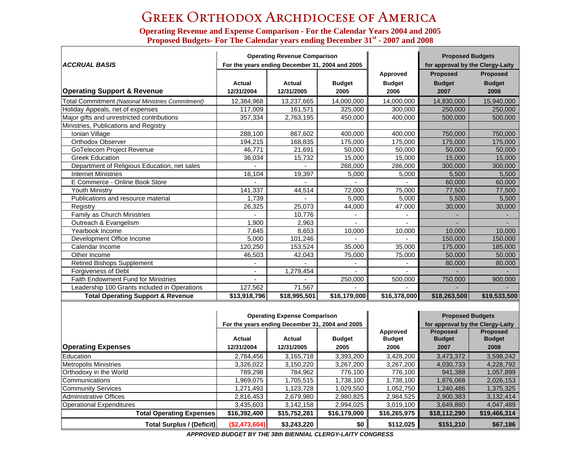## Greek Orthodox Archdiocese of America

**Operatin g Revenue and Expense Comparison - For the Calendar Years 2004 and 2005 Proposed Bud gets- For The Calendar years endin <sup>g</sup>December 31st - 2007 and 2008**

| <b>ACCRUAL BASIS</b>                              |              | <b>Operating Revenue Comparison</b><br>For the years ending December 31, 2004 and 2005 |               |                          | <b>Proposed Budgets</b><br>for approval by the Clergy-Laity |                 |  |
|---------------------------------------------------|--------------|----------------------------------------------------------------------------------------|---------------|--------------------------|-------------------------------------------------------------|-----------------|--|
|                                                   |              |                                                                                        |               | Approved                 | Proposed                                                    | Proposed        |  |
|                                                   | Actual       | Actual                                                                                 | <b>Budget</b> | <b>Budget</b>            | <b>Budget</b>                                               | <b>Budget</b>   |  |
| <b>Operating Support &amp; Revenue</b>            | 12/31/2004   | 12/31/2005                                                                             | 2005          | 2006                     | 2007                                                        | 2008            |  |
| Total Commitment (National Ministries Commitment) | 12,384,968   | 13,237,665                                                                             | 14,000,000    | 14,000,000               | 14,830,000                                                  | 15,940,000      |  |
| Holiday Appeals, net of expenses                  | 117.009      | 161,571                                                                                | 325.000       | 300.000                  | 250,000                                                     | 250,000         |  |
| Major gifts and unrestricted contributions        | 357,334      | 2,763,195                                                                              | 450,000       | 400,000                  | 500,000                                                     | 500,000         |  |
| Ministries, Publications and Registry             |              |                                                                                        |               |                          |                                                             |                 |  |
| Ionian Village                                    | 288,100      | 867,602                                                                                | 400,000       | 400,000                  | 750,000                                                     | 750,000         |  |
| Orthodox Observer                                 | 194,215      | 168,835                                                                                | 175,000       | 175,000                  | 175,000                                                     | 175,000         |  |
| <b>GoTelecom Project Revenue</b>                  | 46.771       | 21,691                                                                                 | 50.000        | 50,000                   | 50.000                                                      | 50.000          |  |
| <b>Greek Education</b>                            | 36,034       | 15,732                                                                                 | 15,000        | 15,000                   | 15,000                                                      | 15,000          |  |
| Department of Religious Education, net sales      |              |                                                                                        | 268,000       | 286,000                  | 300,000                                                     | 300,000         |  |
| <b>Internet Ministries</b>                        | 16,104       | 19,397                                                                                 | 5,000         | 5,000                    | 5,500                                                       | 5,500           |  |
| E Commerce - Online Book Store                    |              |                                                                                        |               | $\overline{a}$           | 60,000                                                      | 60,000          |  |
| <b>Youth Ministry</b>                             | 141,337      | 44,514                                                                                 | 72,000        | 75,000                   | 77,500                                                      | 77,500          |  |
| Publications and resource material                | 1,739        | $\sim$                                                                                 | 5,000         | 5,000                    | 5,500                                                       | 5,500           |  |
| Registry                                          | 26,325       | 25,073                                                                                 | 44,000        | 47,000                   | 30,000                                                      | 30,000          |  |
| Family as Church Ministries                       |              | 10.776                                                                                 |               |                          |                                                             |                 |  |
| Outreach & Evangelism                             | 1,900        | 2,963                                                                                  |               |                          |                                                             |                 |  |
| Yearbook Income                                   | 7,645        | 8,653                                                                                  | 10,000        | 10,000                   | 10,000                                                      | 10,000          |  |
| Development Office Income                         | 5,000        | 101,246                                                                                | $\mathbf{r}$  | $\mathbf{r}$             | 150,000                                                     | 150,000         |  |
| Calendar Income                                   | 120,250      | 153,524                                                                                | 35,000        | 35,000                   | 175,000                                                     | 185,000         |  |
| Other Income                                      | 46,503       | 42,043                                                                                 | 75,000        | 75,000                   | 50,000                                                      | 50,000          |  |
| <b>Retired Bishops Supplement</b>                 |              |                                                                                        |               | $\overline{\phantom{a}}$ | 80,000                                                      | 80,000          |  |
| Forgiveness of Debt                               |              | 1,279,454                                                                              |               |                          |                                                             |                 |  |
| Faith Endowment Fund for Ministries               | $\sim$       | $\sim$                                                                                 | 250,000       | 500,000                  | 750,000                                                     | 900,000         |  |
| Leadership 100 Grants included in Operations      | 127,562      | 71,567                                                                                 |               |                          |                                                             |                 |  |
| <b>Total Operating Support &amp; Revenue</b>      | \$13,918,796 | \$18,995,501                                                                           | \$16,179,000  | \$16,378,000             | \$18,263,500                                                | \$19,533,500    |  |
|                                                   |              |                                                                                        |               |                          |                                                             |                 |  |
|                                                   |              | <b>Operating Expense Comparison</b>                                                    |               |                          | <b>Proposed Budgets</b>                                     |                 |  |
|                                                   |              | For the years ending December 31, 2004 and 2005                                        |               |                          | for approval by the Clergy-Laity                            |                 |  |
|                                                   |              |                                                                                        |               | Approved                 | <b>Proposed</b>                                             | <b>Proposed</b> |  |
|                                                   | Actual       | Actual                                                                                 | <b>Budget</b> | <b>Budget</b>            | <b>Budget</b>                                               | <b>Budget</b>   |  |
| <b>Operating Expenses</b>                         | 12/31/2004   | 12/31/2005                                                                             | 2005          | 2006                     | 2007                                                        | 2008            |  |
| Education                                         | 2,784,456    | 3,165,718                                                                              | 3,393,200     | 3,428,200                | 3,473,372                                                   | 3,598,242       |  |
| <b>Metropolis Ministries</b>                      | 3,326,022    | 3.150.220                                                                              | 3,267,200     | 3,267,200                | 4,030,733                                                   | 4,228,792       |  |
| Orthodoxy in the World                            | 789,298      | 784,962                                                                                | 776,100       | 776,100                  | 941,388                                                     | 1,057,899       |  |
| Communications                                    | 1,969,075    | 1,705,515                                                                              | 1,738,100     | 1,738,100                | 1,876,068                                                   | 2,026,153       |  |

*APPROVED BUDGET BY THE 38th BIENNIAL CLERGY-LAITY CONGRESS*

Community Services 1,271,493 1,123,728 1,029,550 1,052,750 1,240,486 1,375,325 Administrative Offices 2,816,453 2,816,453 2,679,980 2,980,825 2,984,525 2,900,383 3,132,414 Operational Expenditures 3,435,603 3,142,158 2,994,025 3,019,100 3,649,860 4,047,489

> **Total Operating Expenses \$16,392,400 \$15,752,281 \$16,179,000 \$16,265,975 \$18,112,290 \$19,466,314 Total Surplus / (Deficit) (\$2,473,604) \$3,243,220 \$0 \$112,025 \$151,210 \$67,186**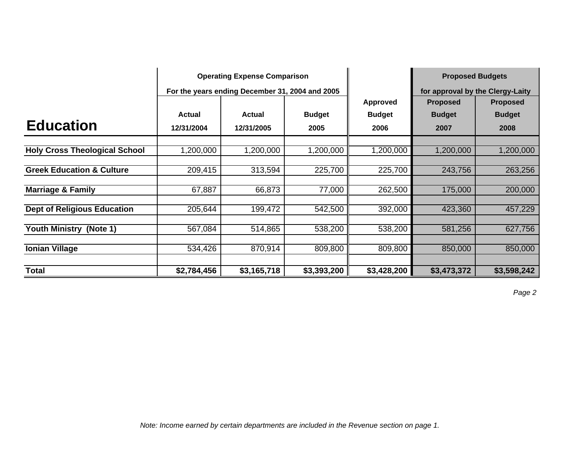|                                      | <b>Operating Expense Comparison</b> |                                                 |               |               |                 | <b>Proposed Budgets</b>          |  |
|--------------------------------------|-------------------------------------|-------------------------------------------------|---------------|---------------|-----------------|----------------------------------|--|
|                                      |                                     | For the years ending December 31, 2004 and 2005 |               |               |                 | for approval by the Clergy-Laity |  |
|                                      |                                     |                                                 |               | Approved      | <b>Proposed</b> | <b>Proposed</b>                  |  |
|                                      | <b>Actual</b>                       | <b>Actual</b>                                   | <b>Budget</b> | <b>Budget</b> | <b>Budget</b>   | <b>Budget</b>                    |  |
| <b>Education</b>                     | 12/31/2004                          | 12/31/2005                                      | 2005          | 2006          | 2007            | 2008                             |  |
| <b>Holy Cross Theological School</b> | 1,200,000                           | 1,200,000                                       | 1,200,000     | 1,200,000     | 1,200,000       | 1,200,000                        |  |
|                                      |                                     |                                                 |               |               |                 |                                  |  |
| <b>Greek Education &amp; Culture</b> | 209,415                             | 313,594                                         | 225,700       | 225,700       | 243,756         | 263,256                          |  |
| <b>Marriage &amp; Family</b>         | 67,887                              | 66,873                                          | 77,000        | 262,500       | 175,000         | 200,000                          |  |
| <b>Dept of Religious Education</b>   | 205,644                             | 199,472                                         | 542,500       | 392,000       | 423,360         | 457,229                          |  |
| <b>Youth Ministry (Note 1)</b>       | 567,084                             | 514,865                                         | 538,200       | 538,200       | 581,256         | 627,756                          |  |
| <b>Ionian Village</b>                | 534,426                             | 870,914                                         | 809,800       | 809,800       | 850,000         | 850,000                          |  |
| <b>Total</b>                         | \$2,784,456                         | \$3,165,718                                     | \$3,393,200   | \$3,428,200   | \$3,473,372     | \$3,598,242                      |  |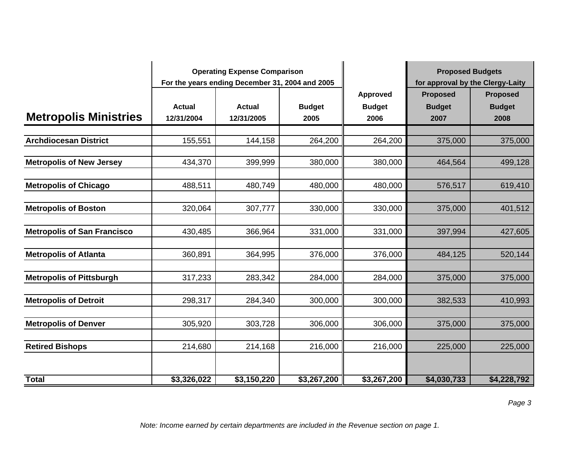|                                    | <b>Operating Expense Comparison</b><br>For the years ending December 31, 2004 and 2005 |               |               |               | <b>Proposed Budgets</b>          |                 |
|------------------------------------|----------------------------------------------------------------------------------------|---------------|---------------|---------------|----------------------------------|-----------------|
|                                    |                                                                                        |               |               |               | for approval by the Clergy-Laity |                 |
|                                    |                                                                                        |               |               | Approved      | <b>Proposed</b>                  | <b>Proposed</b> |
|                                    | <b>Actual</b>                                                                          | <b>Actual</b> | <b>Budget</b> | <b>Budget</b> | <b>Budget</b>                    | <b>Budget</b>   |
| <b>Metropolis Ministries</b>       | 12/31/2004                                                                             | 12/31/2005    | 2005          | 2006          | 2007                             | 2008            |
|                                    |                                                                                        |               |               |               |                                  |                 |
| <b>Archdiocesan District</b>       | 155,551                                                                                | 144,158       | 264,200       | 264,200       | 375,000                          | 375,000         |
| <b>Metropolis of New Jersey</b>    | 434,370                                                                                | 399,999       | 380,000       | 380,000       | 464,564                          | 499,128         |
|                                    |                                                                                        |               |               |               |                                  |                 |
| <b>Metropolis of Chicago</b>       | 488,511                                                                                | 480,749       | 480,000       | 480,000       | 576,517                          | 619,410         |
|                                    |                                                                                        |               |               |               |                                  |                 |
| <b>Metropolis of Boston</b>        | 320,064                                                                                | 307,777       | 330,000       | 330,000       | 375,000                          | 401,512         |
|                                    |                                                                                        |               |               |               |                                  |                 |
| <b>Metropolis of San Francisco</b> | 430,485                                                                                | 366,964       | 331,000       | 331,000       | 397,994                          | 427,605         |
|                                    |                                                                                        |               |               |               |                                  |                 |
| <b>Metropolis of Atlanta</b>       | 360,891                                                                                | 364,995       | 376,000       | 376,000       | 484,125                          | 520,144         |
| <b>Metropolis of Pittsburgh</b>    | 317,233                                                                                | 283,342       | 284,000       | 284,000       | 375,000                          | 375,000         |
|                                    |                                                                                        |               |               |               |                                  |                 |
| <b>Metropolis of Detroit</b>       | 298,317                                                                                | 284,340       | 300,000       | 300,000       | 382,533                          | 410,993         |
|                                    |                                                                                        |               |               |               |                                  |                 |
| <b>Metropolis of Denver</b>        | 305,920                                                                                | 303,728       | 306,000       | 306,000       | 375,000                          | 375,000         |
|                                    |                                                                                        |               |               |               |                                  |                 |
| <b>Retired Bishops</b>             | 214,680                                                                                | 214,168       | 216,000       | 216,000       | 225,000                          | 225,000         |
|                                    |                                                                                        |               |               |               |                                  |                 |
| <b>Total</b>                       | \$3,326,022                                                                            | \$3,150,220   | \$3,267,200   | \$3,267,200   | \$4,030,733                      | \$4,228,792     |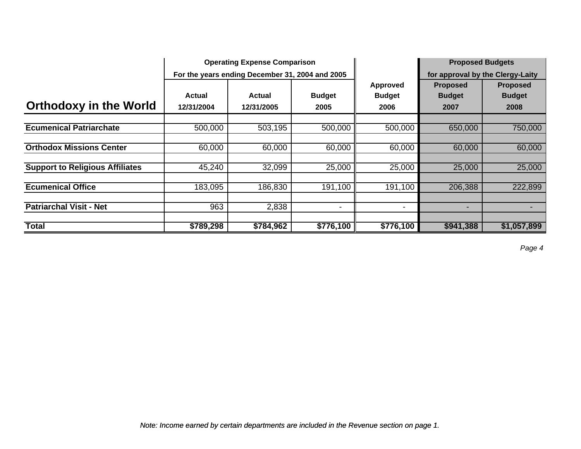|                                        |                      | <b>Operating Expense Comparison</b>             |                          |                                   | <b>Proposed Budgets</b>                  |                                          |  |
|----------------------------------------|----------------------|-------------------------------------------------|--------------------------|-----------------------------------|------------------------------------------|------------------------------------------|--|
|                                        |                      | For the years ending December 31, 2004 and 2005 |                          |                                   | for approval by the Clergy-Laity         |                                          |  |
| <b>Orthodoxy in the World</b>          | Actual<br>12/31/2004 | Actual<br>12/31/2005                            | <b>Budget</b><br>2005    | Approved<br><b>Budget</b><br>2006 | <b>Proposed</b><br><b>Budget</b><br>2007 | <b>Proposed</b><br><b>Budget</b><br>2008 |  |
| <b>Ecumenical Patriarchate</b>         | 500,000              | 503,195                                         | 500,000                  | 500,000                           | 650,000                                  | 750,000                                  |  |
| <b>Orthodox Missions Center</b>        | 60,000               | 60,000                                          | 60,000                   | 60,000                            | 60,000                                   | 60,000                                   |  |
| <b>Support to Religious Affiliates</b> | 45,240               | 32,099                                          | 25,000                   | 25,000                            | 25,000                                   | 25,000                                   |  |
| <b>Ecumenical Office</b>               | 183,095              | 186,830                                         | 191,100                  | 191,100                           | 206,388                                  | 222,899                                  |  |
| <b>Patriarchal Visit - Net</b>         | 963                  | 2,838                                           | $\overline{\phantom{0}}$ | -                                 | $\overline{\phantom{a}}$                 |                                          |  |
| <b>Total</b>                           | \$789,298            | \$784,962                                       | \$776,100                | \$776,100                         | \$941,388                                | \$1,057,899                              |  |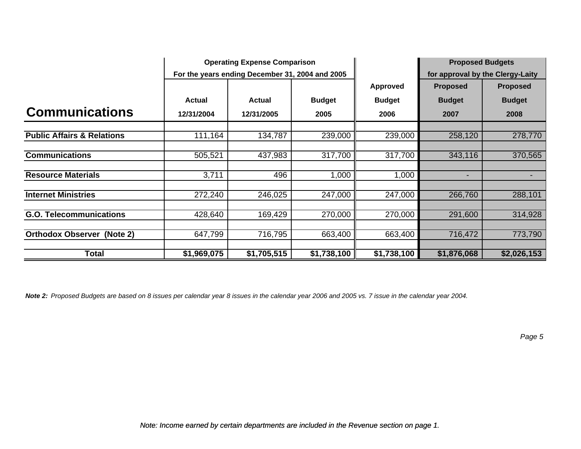|                                       |             | <b>Operating Expense Comparison</b>             |               |                 | <b>Proposed Budgets</b>          |                 |
|---------------------------------------|-------------|-------------------------------------------------|---------------|-----------------|----------------------------------|-----------------|
|                                       |             | For the years ending December 31, 2004 and 2005 |               |                 | for approval by the Clergy-Laity |                 |
|                                       |             |                                                 |               | <b>Approved</b> | <b>Proposed</b>                  | <b>Proposed</b> |
|                                       | Actual      | Actual                                          | <b>Budget</b> | <b>Budget</b>   | <b>Budget</b>                    | <b>Budget</b>   |
| <b>Communications</b>                 | 12/31/2004  | 12/31/2005                                      | 2005          | 2006            | 2007                             | 2008            |
| <b>Public Affairs &amp; Relations</b> | 111,164     | 134,787                                         | 239,000       | 239,000         | 258,120                          | 278,770         |
|                                       |             |                                                 |               |                 |                                  |                 |
| <b>Communications</b>                 | 505,521     | 437,983                                         | 317,700       | 317,700         | 343,116                          | 370,565         |
| <b>Resource Materials</b>             | 3,711       | 496                                             | 1,000         | 1,000           | $\overline{\phantom{a}}$         |                 |
| <b>Internet Ministries</b>            | 272,240     | 246,025                                         | 247,000       | 247,000         | 266,760                          | 288,101         |
| <b>G.O. Telecommunications</b>        | 428,640     | 169,429                                         | 270,000       | 270,000         | 291,600                          | 314,928         |
| <b>Orthodox Observer (Note 2)</b>     | 647,799     | 716,795                                         | 663,400       | 663,400         | 716,472                          | 773,790         |
|                                       |             |                                                 |               |                 |                                  |                 |
| Total                                 | \$1,969,075 | \$1,705,515                                     | \$1,738,100   | \$1,738,100     | \$1,876,068                      | \$2,026,153     |

*Note 2: Proposed Budgets are based on 8 issues per calendar year 8 issues in the calendar year 2006 and 2005 vs. 7 issue in the calendar year 2004.*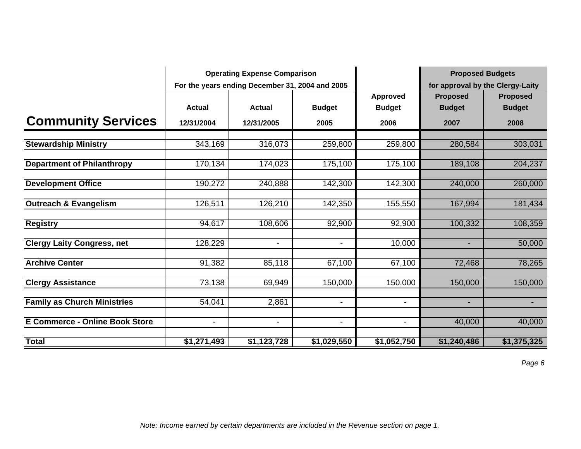|                                       | <b>Operating Expense Comparison</b> |                                                 |                          |                          | <b>Proposed Budgets</b>          |                 |  |
|---------------------------------------|-------------------------------------|-------------------------------------------------|--------------------------|--------------------------|----------------------------------|-----------------|--|
|                                       |                                     | For the years ending December 31, 2004 and 2005 |                          |                          | for approval by the Clergy-Laity |                 |  |
|                                       |                                     |                                                 |                          | <b>Approved</b>          | <b>Proposed</b>                  | <b>Proposed</b> |  |
|                                       | <b>Actual</b>                       | <b>Actual</b>                                   | <b>Budget</b>            | <b>Budget</b>            | <b>Budget</b>                    | <b>Budget</b>   |  |
| <b>Community Services</b>             | 12/31/2004                          | 12/31/2005                                      | 2005                     | 2006                     | 2007                             | 2008            |  |
| <b>Stewardship Ministry</b>           | 343,169                             | 316,073                                         | 259,800                  | 259,800                  | 280,584                          | 303,031         |  |
|                                       |                                     |                                                 |                          |                          |                                  |                 |  |
| <b>Department of Philanthropy</b>     | 170,134                             | 174,023                                         | 175,100                  | 175,100                  | 189,108                          | 204,237         |  |
| <b>Development Office</b>             | 190,272                             | 240,888                                         | 142,300                  | 142,300                  | 240,000                          | 260,000         |  |
| <b>Outreach &amp; Evangelism</b>      | 126,511                             | 126,210                                         | 142,350                  | 155,550                  | 167,994                          | 181,434         |  |
| <b>Registry</b>                       | 94,617                              | 108,606                                         | 92,900                   | 92,900                   | 100,332                          | 108,359         |  |
| <b>Clergy Laity Congress, net</b>     | 128,229                             | $\blacksquare$                                  | $\blacksquare$           | 10,000                   | $\blacksquare$                   | 50,000          |  |
| <b>Archive Center</b>                 | 91,382                              | 85,118                                          | 67,100                   | 67,100                   | 72,468                           | 78,265          |  |
| <b>Clergy Assistance</b>              | 73,138                              | 69,949                                          | 150,000                  | 150,000                  | 150,000                          | 150,000         |  |
| <b>Family as Church Ministries</b>    | 54,041                              | 2,861                                           | $\overline{\phantom{a}}$ | $\overline{\phantom{a}}$ | ٠                                | ٠               |  |
| <b>E Commerce - Online Book Store</b> | $\overline{\phantom{a}}$            | $\blacksquare$                                  | $\blacksquare$           | $\overline{\phantom{a}}$ | 40,000                           | 40,000          |  |
| <b>Total</b>                          | \$1,271,493                         | \$1,123,728                                     | \$1,029,550              | \$1,052,750              | \$1,240,486                      | \$1,375,325     |  |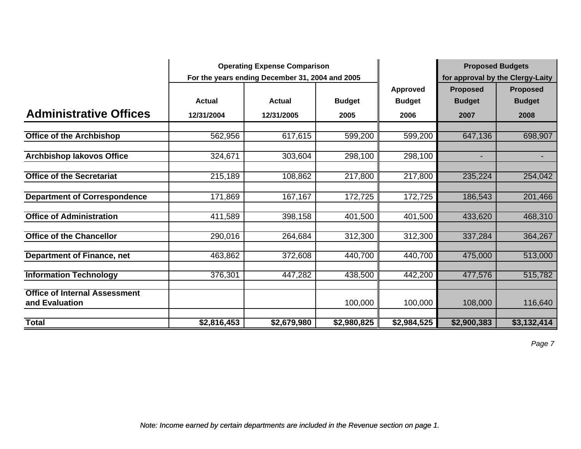|                                                        | <b>Operating Expense Comparison</b> |                                                 |               |                 | <b>Proposed Budgets</b> |                                  |  |
|--------------------------------------------------------|-------------------------------------|-------------------------------------------------|---------------|-----------------|-------------------------|----------------------------------|--|
|                                                        |                                     | For the years ending December 31, 2004 and 2005 |               |                 |                         | for approval by the Clergy-Laity |  |
|                                                        |                                     |                                                 |               | <b>Approved</b> | <b>Proposed</b>         | <b>Proposed</b>                  |  |
|                                                        | <b>Actual</b>                       | <b>Actual</b>                                   | <b>Budget</b> | <b>Budget</b>   | <b>Budget</b>           | <b>Budget</b>                    |  |
| <b>Administrative Offices</b>                          | 12/31/2004                          | 12/31/2005                                      | 2005          | 2006            | 2007                    | 2008                             |  |
| <b>Office of the Archbishop</b>                        | 562,956                             | 617,615                                         | 599,200       | 599,200         | 647,136                 | 698,907                          |  |
|                                                        |                                     |                                                 |               |                 |                         |                                  |  |
| <b>Archbishop lakovos Office</b>                       | 324,671                             | 303,604                                         | 298,100       | 298,100         |                         |                                  |  |
| <b>Office of the Secretariat</b>                       | 215,189                             | 108,862                                         | 217,800       | 217,800         | 235,224                 | 254,042                          |  |
| <b>Department of Correspondence</b>                    | 171,869                             | 167,167                                         | 172,725       | 172,725         | 186,543                 | 201,466                          |  |
| <b>Office of Administration</b>                        | 411,589                             | 398,158                                         | 401,500       | 401,500         | 433,620                 | 468,310                          |  |
| <b>Office of the Chancellor</b>                        | 290,016                             | 264,684                                         | 312,300       | 312,300         | 337,284                 | 364,267                          |  |
| <b>Department of Finance, net</b>                      | 463,862                             | 372,608                                         | 440,700       | 440,700         | 475,000                 | 513,000                          |  |
| <b>Information Technology</b>                          | 376,301                             | 447,282                                         | 438,500       | 442,200         | 477,576                 | 515,782                          |  |
| <b>Office of Internal Assessment</b><br>and Evaluation |                                     |                                                 | 100,000       | 100,000         | 108,000                 | 116,640                          |  |
| <b>Total</b>                                           | \$2,816,453                         | \$2,679,980                                     | \$2,980,825   | \$2,984,525     | \$2,900,383             | \$3,132,414                      |  |